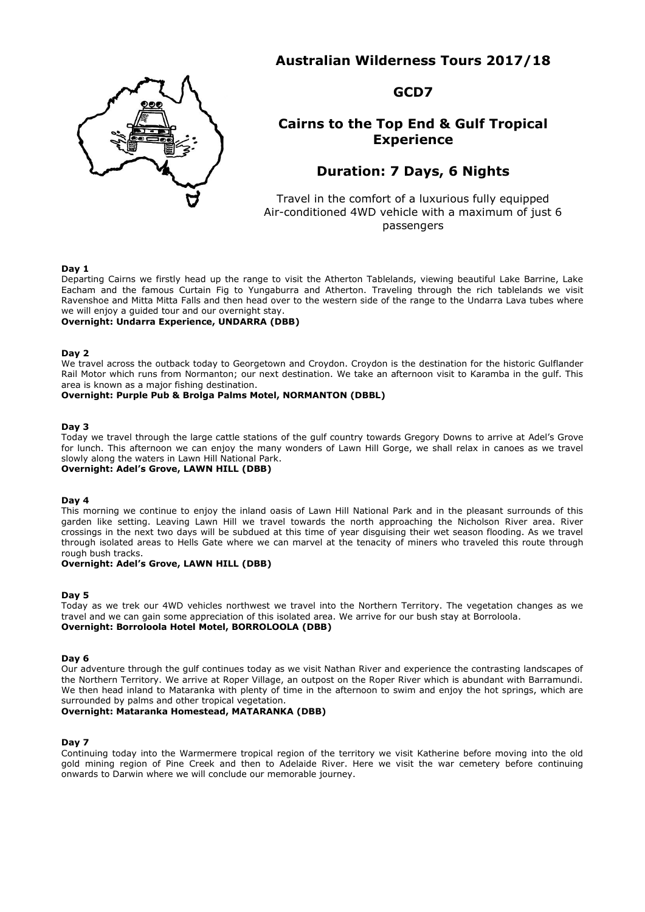# **Australian Wilderness Tours 2017/18**



**GCD7**

# **Cairns to the Top End & Gulf Tropical Experience**

# **Duration: 7 Days, 6 Nights**

Travel in the comfort of a luxurious fully equipped Air-conditioned 4WD vehicle with a maximum of just 6 passengers

#### **Day 1**

Departing Cairns we firstly head up the range to visit the Atherton Tablelands, viewing beautiful Lake Barrine, Lake Eacham and the famous Curtain Fig to Yungaburra and Atherton. Traveling through the rich tablelands we visit Ravenshoe and Mitta Mitta Falls and then head over to the western side of the range to the Undarra Lava tubes where we will enjoy a guided tour and our overnight stay.

### **Overnight: Undarra Experience, UNDARRA (DBB)**

#### **Day 2**

We travel across the outback today to Georgetown and Croydon. Croydon is the destination for the historic Gulflander Rail Motor which runs from Normanton; our next destination. We take an afternoon visit to Karamba in the gulf. This area is known as a major fishing destination.

### **Overnight: Purple Pub & Brolga Palms Motel, NORMANTON (DBBL)**

#### **Day 3**

Today we travel through the large cattle stations of the gulf country towards Gregory Downs to arrive at Adel's Grove for lunch. This afternoon we can enjoy the many wonders of Lawn Hill Gorge, we shall relax in canoes as we travel slowly along the waters in Lawn Hill National Park.

# **Overnight: Adel's Grove, LAWN HILL (DBB)**

#### **Day 4**

This morning we continue to enjoy the inland oasis of Lawn Hill National Park and in the pleasant surrounds of this garden like setting. Leaving Lawn Hill we travel towards the north approaching the Nicholson River area. River crossings in the next two days will be subdued at this time of year disguising their wet season flooding. As we travel through isolated areas to Hells Gate where we can marvel at the tenacity of miners who traveled this route through rough bush tracks.

#### **Overnight: Adel's Grove, LAWN HILL (DBB)**

#### **Day 5**

Today as we trek our 4WD vehicles northwest we travel into the Northern Territory. The vegetation changes as we travel and we can gain some appreciation of this isolated area. We arrive for our bush stay at Borroloola. **Overnight: Borroloola Hotel Motel, BORROLOOLA (DBB)**

#### **Day 6**

Our adventure through the gulf continues today as we visit Nathan River and experience the contrasting landscapes of the Northern Territory. We arrive at Roper Village, an outpost on the Roper River which is abundant with Barramundi. We then head inland to Mataranka with plenty of time in the afternoon to swim and enjoy the hot springs, which are surrounded by palms and other tropical vegetation.

### **Overnight: Mataranka Homestead, MATARANKA (DBB)**

#### **Day 7**

Continuing today into the Warmermere tropical region of the territory we visit Katherine before moving into the old gold mining region of Pine Creek and then to Adelaide River. Here we visit the war cemetery before continuing onwards to Darwin where we will conclude our memorable journey.